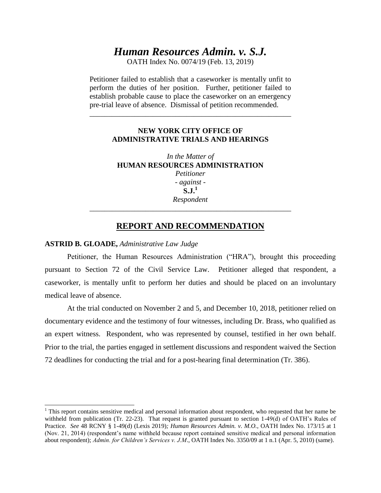# *Human Resources Admin. v. S.J.*

OATH Index No. 0074/19 (Feb. 13, 2019)

Petitioner failed to establish that a caseworker is mentally unfit to perform the duties of her position. Further, petitioner failed to establish probable cause to place the caseworker on an emergency pre-trial leave of absence. Dismissal of petition recommended.

## **NEW YORK CITY OFFICE OF ADMINISTRATIVE TRIALS AND HEARINGS**

\_\_\_\_\_\_\_\_\_\_\_\_\_\_\_\_\_\_\_\_\_\_\_\_\_\_\_\_\_\_\_\_\_\_\_\_\_\_\_\_\_\_\_\_\_\_\_\_\_\_\_\_\_\_

*In the Matter of*  **HUMAN RESOURCES ADMINISTRATION** *Petitioner - against* - **S.J.<sup>1</sup>** *Respondent \_\_\_\_\_\_\_\_\_\_\_\_\_\_\_\_\_\_\_\_\_\_\_\_\_\_\_\_\_\_\_\_\_\_\_\_\_\_\_\_\_\_\_\_\_\_\_\_\_\_\_\_\_\_*

## **REPORT AND RECOMMENDATION**

## **ASTRID B. GLOADE,** *Administrative Law Judge*

l

Petitioner, the Human Resources Administration ("HRA"), brought this proceeding pursuant to Section 72 of the Civil Service Law. Petitioner alleged that respondent, a caseworker, is mentally unfit to perform her duties and should be placed on an involuntary medical leave of absence.

At the trial conducted on November 2 and 5, and December 10, 2018, petitioner relied on documentary evidence and the testimony of four witnesses, including Dr. Brass, who qualified as an expert witness. Respondent, who was represented by counsel, testified in her own behalf. Prior to the trial, the parties engaged in settlement discussions and respondent waived the Section 72 deadlines for conducting the trial and for a post-hearing final determination (Tr. 386).

 $<sup>1</sup>$  This report contains sensitive medical and personal information about respondent, who requested that her name be</sup> withheld from publication (Tr. 22-23). That request is granted pursuant to section 1-49(d) of OATH's Rules of Practice. *See* 48 RCNY § 1-49(d) (Lexis 2019)*; Human Resources Admin. v. M.O.*, OATH Index No. 173/15 at 1 (Nov. 21, 2014) (respondent's name withheld because report contained sensitive medical and personal information about respondent); *Admin. for Children's Services v. J.M*., OATH Index No. 3350/09 at 1 n.1 (Apr. 5, 2010) (same).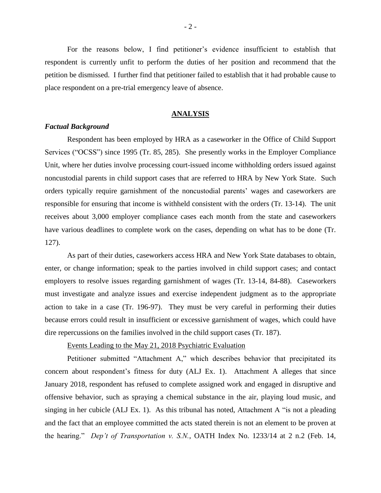For the reasons below, I find petitioner's evidence insufficient to establish that respondent is currently unfit to perform the duties of her position and recommend that the petition be dismissed. I further find that petitioner failed to establish that it had probable cause to place respondent on a pre-trial emergency leave of absence.

#### **ANALYSIS**

#### *Factual Background*

Respondent has been employed by HRA as a caseworker in the Office of Child Support Services ("OCSS") since 1995 (Tr. 85, 285). She presently works in the Employer Compliance Unit, where her duties involve processing court-issued income withholding orders issued against noncustodial parents in child support cases that are referred to HRA by New York State. Such orders typically require garnishment of the noncustodial parents' wages and caseworkers are responsible for ensuring that income is withheld consistent with the orders (Tr. 13-14). The unit receives about 3,000 employer compliance cases each month from the state and caseworkers have various deadlines to complete work on the cases, depending on what has to be done (Tr. 127).

As part of their duties, caseworkers access HRA and New York State databases to obtain, enter, or change information; speak to the parties involved in child support cases; and contact employers to resolve issues regarding garnishment of wages (Tr. 13-14, 84-88). Caseworkers must investigate and analyze issues and exercise independent judgment as to the appropriate action to take in a case (Tr. 196-97). They must be very careful in performing their duties because errors could result in insufficient or excessive garnishment of wages, which could have dire repercussions on the families involved in the child support cases (Tr. 187).

Events Leading to the May 21, 2018 Psychiatric Evaluation

Petitioner submitted "Attachment A," which describes behavior that precipitated its concern about respondent's fitness for duty (ALJ Ex. 1). Attachment A alleges that since January 2018, respondent has refused to complete assigned work and engaged in disruptive and offensive behavior, such as spraying a chemical substance in the air, playing loud music, and singing in her cubicle (ALJ Ex. 1). As this tribunal has noted, Attachment A "is not a pleading and the fact that an employee committed the acts stated therein is not an element to be proven at the hearing." *Dep't of Transportation v. S.N.*, OATH Index No. 1233/14 at 2 n.2 (Feb. 14,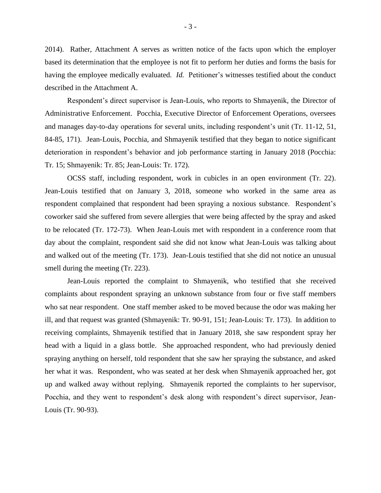2014). Rather, Attachment A serves as written notice of the facts upon which the employer based its determination that the employee is not fit to perform her duties and forms the basis for having the employee medically evaluated. *Id.* Petitioner's witnesses testified about the conduct described in the Attachment A.

Respondent's direct supervisor is Jean-Louis, who reports to Shmayenik, the Director of Administrative Enforcement. Pocchia, Executive Director of Enforcement Operations, oversees and manages day-to-day operations for several units, including respondent's unit (Tr. 11-12, 51, 84-85, 171). Jean-Louis, Pocchia, and Shmayenik testified that they began to notice significant deterioration in respondent's behavior and job performance starting in January 2018 (Pocchia: Tr. 15; Shmayenik: Tr. 85; Jean-Louis: Tr. 172).

OCSS staff, including respondent, work in cubicles in an open environment (Tr. 22). Jean-Louis testified that on January 3, 2018, someone who worked in the same area as respondent complained that respondent had been spraying a noxious substance. Respondent's coworker said she suffered from severe allergies that were being affected by the spray and asked to be relocated (Tr. 172-73). When Jean-Louis met with respondent in a conference room that day about the complaint, respondent said she did not know what Jean-Louis was talking about and walked out of the meeting (Tr. 173). Jean-Louis testified that she did not notice an unusual smell during the meeting (Tr. 223).

Jean-Louis reported the complaint to Shmayenik, who testified that she received complaints about respondent spraying an unknown substance from four or five staff members who sat near respondent. One staff member asked to be moved because the odor was making her ill, and that request was granted (Shmayenik: Tr. 90-91, 151; Jean-Louis: Tr. 173). In addition to receiving complaints, Shmayenik testified that in January 2018, she saw respondent spray her head with a liquid in a glass bottle. She approached respondent, who had previously denied spraying anything on herself, told respondent that she saw her spraying the substance, and asked her what it was. Respondent, who was seated at her desk when Shmayenik approached her, got up and walked away without replying. Shmayenik reported the complaints to her supervisor, Pocchia, and they went to respondent's desk along with respondent's direct supervisor, Jean-Louis (Tr. 90-93).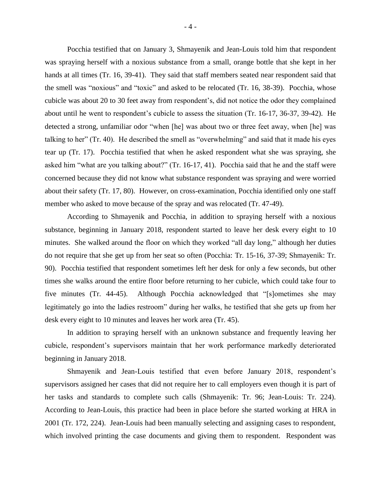Pocchia testified that on January 3, Shmayenik and Jean-Louis told him that respondent was spraying herself with a noxious substance from a small, orange bottle that she kept in her hands at all times (Tr. 16, 39-41). They said that staff members seated near respondent said that the smell was "noxious" and "toxic" and asked to be relocated (Tr. 16, 38-39). Pocchia, whose cubicle was about 20 to 30 feet away from respondent's, did not notice the odor they complained about until he went to respondent's cubicle to assess the situation (Tr. 16-17, 36-37, 39-42). He detected a strong, unfamiliar odor "when [he] was about two or three feet away, when [he] was talking to her" (Tr. 40). He described the smell as "overwhelming" and said that it made his eyes tear up (Tr. 17). Pocchia testified that when he asked respondent what she was spraying, she asked him "what are you talking about?" (Tr. 16-17, 41). Pocchia said that he and the staff were concerned because they did not know what substance respondent was spraying and were worried about their safety (Tr. 17, 80). However, on cross-examination, Pocchia identified only one staff member who asked to move because of the spray and was relocated (Tr. 47-49).

According to Shmayenik and Pocchia, in addition to spraying herself with a noxious substance, beginning in January 2018, respondent started to leave her desk every eight to 10 minutes. She walked around the floor on which they worked "all day long," although her duties do not require that she get up from her seat so often (Pocchia: Tr. 15-16, 37-39; Shmayenik: Tr. 90). Pocchia testified that respondent sometimes left her desk for only a few seconds, but other times she walks around the entire floor before returning to her cubicle, which could take four to five minutes (Tr. 44-45). Although Pocchia acknowledged that "[s]ometimes she may legitimately go into the ladies restroom" during her walks, he testified that she gets up from her desk every eight to 10 minutes and leaves her work area (Tr. 45).

In addition to spraying herself with an unknown substance and frequently leaving her cubicle, respondent's supervisors maintain that her work performance markedly deteriorated beginning in January 2018.

Shmayenik and Jean-Louis testified that even before January 2018, respondent's supervisors assigned her cases that did not require her to call employers even though it is part of her tasks and standards to complete such calls (Shmayenik: Tr. 96; Jean-Louis: Tr. 224). According to Jean-Louis, this practice had been in place before she started working at HRA in 2001 (Tr. 172, 224). Jean-Louis had been manually selecting and assigning cases to respondent, which involved printing the case documents and giving them to respondent. Respondent was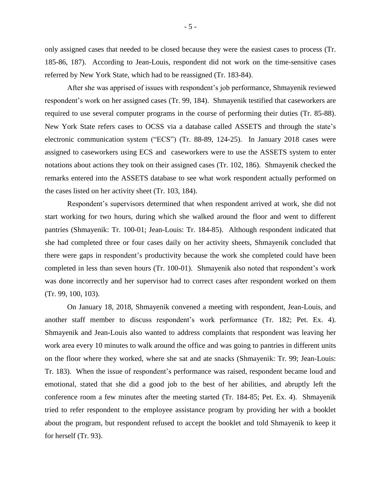only assigned cases that needed to be closed because they were the easiest cases to process (Tr. 185-86, 187). According to Jean-Louis, respondent did not work on the time-sensitive cases referred by New York State, which had to be reassigned (Tr. 183-84).

After she was apprised of issues with respondent's job performance, Shmayenik reviewed respondent's work on her assigned cases (Tr. 99, 184). Shmayenik testified that caseworkers are required to use several computer programs in the course of performing their duties (Tr. 85-88). New York State refers cases to OCSS via a database called ASSETS and through the state's electronic communication system ("ECS") (Tr. 88-89, 124-25). In January 2018 cases were assigned to caseworkers using ECS and caseworkers were to use the ASSETS system to enter notations about actions they took on their assigned cases (Tr. 102, 186). Shmayenik checked the remarks entered into the ASSETS database to see what work respondent actually performed on the cases listed on her activity sheet (Tr. 103, 184).

Respondent's supervisors determined that when respondent arrived at work, she did not start working for two hours, during which she walked around the floor and went to different pantries (Shmayenik: Tr. 100-01; Jean-Louis: Tr. 184-85). Although respondent indicated that she had completed three or four cases daily on her activity sheets, Shmayenik concluded that there were gaps in respondent's productivity because the work she completed could have been completed in less than seven hours (Tr. 100-01). Shmayenik also noted that respondent's work was done incorrectly and her supervisor had to correct cases after respondent worked on them (Tr. 99, 100, 103).

On January 18, 2018, Shmayenik convened a meeting with respondent, Jean-Louis, and another staff member to discuss respondent's work performance (Tr. 182; Pet. Ex. 4). Shmayenik and Jean-Louis also wanted to address complaints that respondent was leaving her work area every 10 minutes to walk around the office and was going to pantries in different units on the floor where they worked, where she sat and ate snacks (Shmayenik: Tr. 99; Jean-Louis: Tr. 183). When the issue of respondent's performance was raised, respondent became loud and emotional, stated that she did a good job to the best of her abilities, and abruptly left the conference room a few minutes after the meeting started (Tr. 184-85; Pet. Ex. 4). Shmayenik tried to refer respondent to the employee assistance program by providing her with a booklet about the program, but respondent refused to accept the booklet and told Shmayenik to keep it for herself (Tr. 93).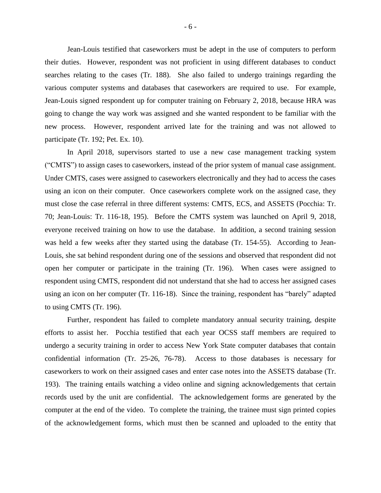Jean-Louis testified that caseworkers must be adept in the use of computers to perform their duties. However, respondent was not proficient in using different databases to conduct searches relating to the cases (Tr. 188). She also failed to undergo trainings regarding the various computer systems and databases that caseworkers are required to use. For example, Jean-Louis signed respondent up for computer training on February 2, 2018, because HRA was going to change the way work was assigned and she wanted respondent to be familiar with the new process. However, respondent arrived late for the training and was not allowed to participate (Tr. 192; Pet. Ex. 10).

In April 2018, supervisors started to use a new case management tracking system ("CMTS") to assign cases to caseworkers, instead of the prior system of manual case assignment. Under CMTS, cases were assigned to caseworkers electronically and they had to access the cases using an icon on their computer. Once caseworkers complete work on the assigned case, they must close the case referral in three different systems: CMTS, ECS, and ASSETS (Pocchia: Tr. 70; Jean-Louis: Tr. 116-18, 195). Before the CMTS system was launched on April 9, 2018, everyone received training on how to use the database. In addition, a second training session was held a few weeks after they started using the database (Tr. 154-55). According to Jean-Louis, she sat behind respondent during one of the sessions and observed that respondent did not open her computer or participate in the training (Tr. 196). When cases were assigned to respondent using CMTS, respondent did not understand that she had to access her assigned cases using an icon on her computer (Tr. 116-18). Since the training, respondent has "barely" adapted to using CMTS (Tr. 196).

Further, respondent has failed to complete mandatory annual security training, despite efforts to assist her. Pocchia testified that each year OCSS staff members are required to undergo a security training in order to access New York State computer databases that contain confidential information (Tr. 25-26, 76-78). Access to those databases is necessary for caseworkers to work on their assigned cases and enter case notes into the ASSETS database (Tr. 193). The training entails watching a video online and signing acknowledgements that certain records used by the unit are confidential. The acknowledgement forms are generated by the computer at the end of the video. To complete the training, the trainee must sign printed copies of the acknowledgement forms, which must then be scanned and uploaded to the entity that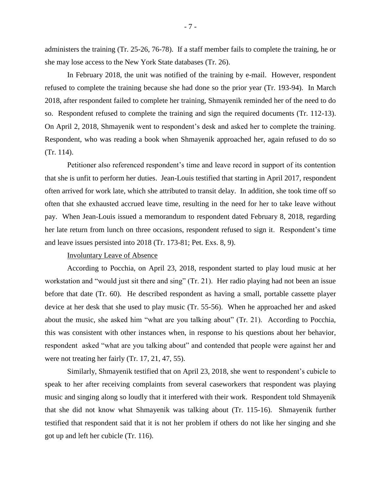administers the training (Tr. 25-26, 76-78). If a staff member fails to complete the training, he or she may lose access to the New York State databases (Tr. 26).

In February 2018, the unit was notified of the training by e-mail. However, respondent refused to complete the training because she had done so the prior year (Tr. 193-94). In March 2018, after respondent failed to complete her training, Shmayenik reminded her of the need to do so. Respondent refused to complete the training and sign the required documents (Tr. 112-13). On April 2, 2018, Shmayenik went to respondent's desk and asked her to complete the training. Respondent, who was reading a book when Shmayenik approached her, again refused to do so (Tr. 114).

Petitioner also referenced respondent's time and leave record in support of its contention that she is unfit to perform her duties. Jean-Louis testified that starting in April 2017, respondent often arrived for work late, which she attributed to transit delay. In addition, she took time off so often that she exhausted accrued leave time, resulting in the need for her to take leave without pay. When Jean-Louis issued a memorandum to respondent dated February 8, 2018, regarding her late return from lunch on three occasions, respondent refused to sign it. Respondent's time and leave issues persisted into 2018 (Tr. 173-81; Pet. Exs. 8, 9).

#### Involuntary Leave of Absence

According to Pocchia, on April 23, 2018, respondent started to play loud music at her workstation and "would just sit there and sing" (Tr. 21). Her radio playing had not been an issue before that date (Tr. 60). He described respondent as having a small, portable cassette player device at her desk that she used to play music (Tr. 55-56). When he approached her and asked about the music, she asked him "what are you talking about" (Tr. 21). According to Pocchia, this was consistent with other instances when, in response to his questions about her behavior, respondent asked "what are you talking about" and contended that people were against her and were not treating her fairly (Tr. 17, 21, 47, 55).

Similarly, Shmayenik testified that on April 23, 2018, she went to respondent's cubicle to speak to her after receiving complaints from several caseworkers that respondent was playing music and singing along so loudly that it interfered with their work. Respondent told Shmayenik that she did not know what Shmayenik was talking about (Tr. 115-16). Shmayenik further testified that respondent said that it is not her problem if others do not like her singing and she got up and left her cubicle (Tr. 116).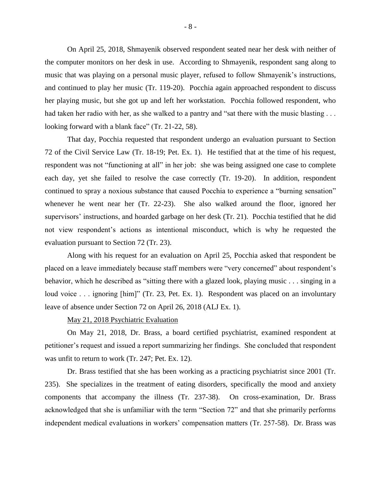On April 25, 2018, Shmayenik observed respondent seated near her desk with neither of the computer monitors on her desk in use. According to Shmayenik, respondent sang along to music that was playing on a personal music player, refused to follow Shmayenik's instructions, and continued to play her music (Tr. 119-20). Pocchia again approached respondent to discuss her playing music, but she got up and left her workstation. Pocchia followed respondent, who had taken her radio with her, as she walked to a pantry and "sat there with the music blasting ... looking forward with a blank face" (Tr. 21-22, 58).

That day, Pocchia requested that respondent undergo an evaluation pursuant to Section 72 of the Civil Service Law (Tr. 18-19; Pet. Ex. 1). He testified that at the time of his request, respondent was not "functioning at all" in her job: she was being assigned one case to complete each day, yet she failed to resolve the case correctly (Tr. 19-20). In addition, respondent continued to spray a noxious substance that caused Pocchia to experience a "burning sensation" whenever he went near her (Tr. 22-23). She also walked around the floor, ignored her supervisors' instructions, and hoarded garbage on her desk (Tr. 21). Pocchia testified that he did not view respondent's actions as intentional misconduct, which is why he requested the evaluation pursuant to Section 72 (Tr. 23).

Along with his request for an evaluation on April 25, Pocchia asked that respondent be placed on a leave immediately because staff members were "very concerned" about respondent's behavior, which he described as "sitting there with a glazed look, playing music . . . singing in a loud voice . . . ignoring [him]" (Tr. 23, Pet. Ex. 1). Respondent was placed on an involuntary leave of absence under Section 72 on April 26, 2018 (ALJ Ex. 1).

#### May 21, 2018 Psychiatric Evaluation

On May 21, 2018, Dr. Brass, a board certified psychiatrist, examined respondent at petitioner's request and issued a report summarizing her findings. She concluded that respondent was unfit to return to work (Tr. 247; Pet. Ex. 12).

Dr. Brass testified that she has been working as a practicing psychiatrist since 2001 (Tr. 235). She specializes in the treatment of eating disorders, specifically the mood and anxiety components that accompany the illness (Tr. 237-38). On cross-examination, Dr. Brass acknowledged that she is unfamiliar with the term "Section 72" and that she primarily performs independent medical evaluations in workers' compensation matters (Tr. 257-58). Dr. Brass was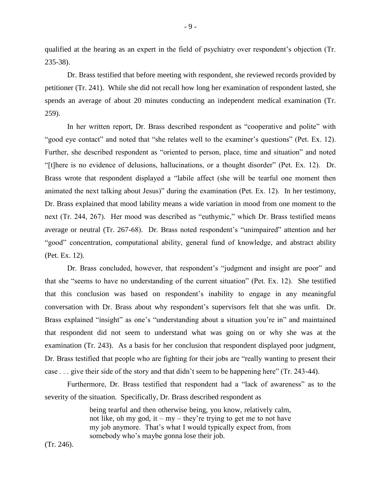qualified at the hearing as an expert in the field of psychiatry over respondent's objection (Tr. 235-38).

Dr. Brass testified that before meeting with respondent, she reviewed records provided by petitioner (Tr. 241). While she did not recall how long her examination of respondent lasted, she spends an average of about 20 minutes conducting an independent medical examination (Tr. 259).

In her written report, Dr. Brass described respondent as "cooperative and polite" with "good eye contact" and noted that "she relates well to the examiner's questions" (Pet. Ex. 12). Further, she described respondent as "oriented to person, place, time and situation" and noted "[t]here is no evidence of delusions, hallucinations, or a thought disorder" (Pet. Ex. 12). Dr. Brass wrote that respondent displayed a "labile affect (she will be tearful one moment then animated the next talking about Jesus)" during the examination (Pet. Ex. 12). In her testimony, Dr. Brass explained that mood lability means a wide variation in mood from one moment to the next (Tr. 244, 267). Her mood was described as "euthymic," which Dr. Brass testified means average or neutral (Tr. 267-68). Dr. Brass noted respondent's "unimpaired" attention and her "good" concentration, computational ability, general fund of knowledge, and abstract ability (Pet. Ex. 12).

Dr. Brass concluded, however, that respondent's "judgment and insight are poor" and that she "seems to have no understanding of the current situation" (Pet. Ex. 12). She testified that this conclusion was based on respondent's inability to engage in any meaningful conversation with Dr. Brass about why respondent's supervisors felt that she was unfit. Dr. Brass explained "insight" as one's "understanding about a situation you're in" and maintained that respondent did not seem to understand what was going on or why she was at the examination (Tr. 243). As a basis for her conclusion that respondent displayed poor judgment, Dr. Brass testified that people who are fighting for their jobs are "really wanting to present their case . . . give their side of the story and that didn't seem to be happening here" (Tr. 243-44).

Furthermore, Dr. Brass testified that respondent had a "lack of awareness" as to the severity of the situation. Specifically, Dr. Brass described respondent as

> being tearful and then otherwise being, you know, relatively calm, not like, oh my god, it – my – they're trying to get me to not have my job anymore. That's what I would typically expect from, from somebody who's maybe gonna lose their job.

(Tr. 246).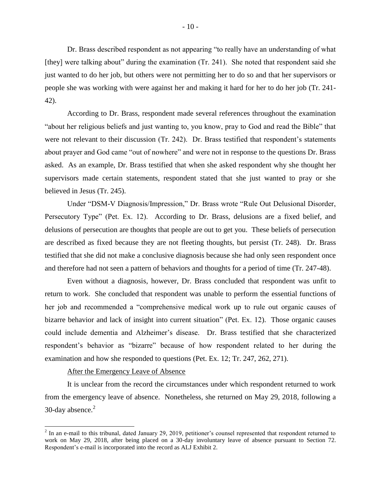Dr. Brass described respondent as not appearing "to really have an understanding of what [they] were talking about" during the examination (Tr. 241). She noted that respondent said she just wanted to do her job, but others were not permitting her to do so and that her supervisors or people she was working with were against her and making it hard for her to do her job (Tr. 241- 42).

According to Dr. Brass, respondent made several references throughout the examination "about her religious beliefs and just wanting to, you know, pray to God and read the Bible" that were not relevant to their discussion (Tr. 242). Dr. Brass testified that respondent's statements about prayer and God came "out of nowhere" and were not in response to the questions Dr. Brass asked. As an example, Dr. Brass testified that when she asked respondent why she thought her supervisors made certain statements, respondent stated that she just wanted to pray or she believed in Jesus (Tr. 245).

Under "DSM-V Diagnosis/Impression," Dr. Brass wrote "Rule Out Delusional Disorder, Persecutory Type" (Pet. Ex. 12). According to Dr. Brass, delusions are a fixed belief, and delusions of persecution are thoughts that people are out to get you. These beliefs of persecution are described as fixed because they are not fleeting thoughts, but persist (Tr. 248). Dr. Brass testified that she did not make a conclusive diagnosis because she had only seen respondent once and therefore had not seen a pattern of behaviors and thoughts for a period of time (Tr. 247-48).

Even without a diagnosis, however, Dr. Brass concluded that respondent was unfit to return to work. She concluded that respondent was unable to perform the essential functions of her job and recommended a "comprehensive medical work up to rule out organic causes of bizarre behavior and lack of insight into current situation" (Pet. Ex. 12). Those organic causes could include dementia and Alzheimer's disease. Dr. Brass testified that she characterized respondent's behavior as "bizarre" because of how respondent related to her during the examination and how she responded to questions (Pet. Ex. 12; Tr. 247, 262, 271).

#### After the Emergency Leave of Absence

 $\overline{a}$ 

It is unclear from the record the circumstances under which respondent returned to work from the emergency leave of absence. Nonetheless, she returned on May 29, 2018, following a 30-day absence. 2

 $2$  In an e-mail to this tribunal, dated January 29, 2019, petitioner's counsel represented that respondent returned to work on May 29, 2018, after being placed on a 30-day involuntary leave of absence pursuant to Section 72. Respondent's e-mail is incorporated into the record as ALJ Exhibit 2.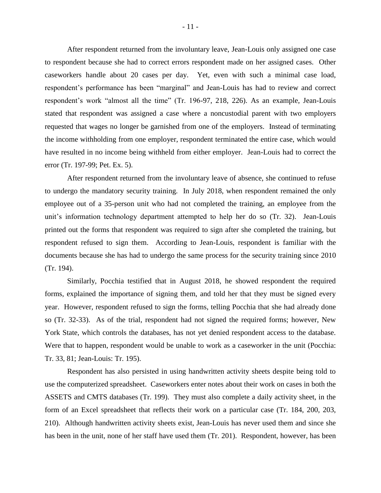After respondent returned from the involuntary leave, Jean-Louis only assigned one case to respondent because she had to correct errors respondent made on her assigned cases. Other caseworkers handle about 20 cases per day. Yet, even with such a minimal case load, respondent's performance has been "marginal" and Jean-Louis has had to review and correct respondent's work "almost all the time" (Tr. 196-97, 218, 226). As an example, Jean-Louis stated that respondent was assigned a case where a noncustodial parent with two employers requested that wages no longer be garnished from one of the employers. Instead of terminating the income withholding from one employer, respondent terminated the entire case, which would have resulted in no income being withheld from either employer. Jean-Louis had to correct the error (Tr. 197-99; Pet. Ex. 5).

After respondent returned from the involuntary leave of absence, she continued to refuse to undergo the mandatory security training. In July 2018, when respondent remained the only employee out of a 35-person unit who had not completed the training, an employee from the unit's information technology department attempted to help her do so (Tr. 32). Jean-Louis printed out the forms that respondent was required to sign after she completed the training, but respondent refused to sign them. According to Jean-Louis, respondent is familiar with the documents because she has had to undergo the same process for the security training since 2010 (Tr. 194).

Similarly, Pocchia testified that in August 2018, he showed respondent the required forms, explained the importance of signing them, and told her that they must be signed every year. However, respondent refused to sign the forms, telling Pocchia that she had already done so (Tr. 32-33). As of the trial, respondent had not signed the required forms; however, New York State, which controls the databases, has not yet denied respondent access to the database. Were that to happen, respondent would be unable to work as a caseworker in the unit (Pocchia: Tr. 33, 81; Jean-Louis: Tr. 195).

Respondent has also persisted in using handwritten activity sheets despite being told to use the computerized spreadsheet. Caseworkers enter notes about their work on cases in both the ASSETS and CMTS databases (Tr. 199). They must also complete a daily activity sheet, in the form of an Excel spreadsheet that reflects their work on a particular case (Tr. 184, 200, 203, 210). Although handwritten activity sheets exist, Jean-Louis has never used them and since she has been in the unit, none of her staff have used them (Tr. 201). Respondent, however, has been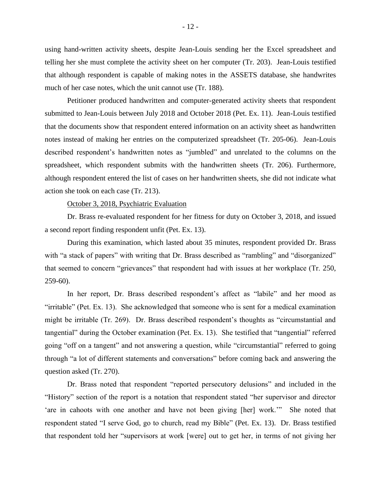using hand-written activity sheets, despite Jean-Louis sending her the Excel spreadsheet and telling her she must complete the activity sheet on her computer (Tr. 203). Jean-Louis testified that although respondent is capable of making notes in the ASSETS database, she handwrites much of her case notes, which the unit cannot use (Tr. 188).

Petitioner produced handwritten and computer-generated activity sheets that respondent submitted to Jean-Louis between July 2018 and October 2018 (Pet. Ex. 11). Jean-Louis testified that the documents show that respondent entered information on an activity sheet as handwritten notes instead of making her entries on the computerized spreadsheet (Tr. 205-06). Jean-Louis described respondent's handwritten notes as "jumbled" and unrelated to the columns on the spreadsheet, which respondent submits with the handwritten sheets (Tr. 206). Furthermore, although respondent entered the list of cases on her handwritten sheets, she did not indicate what action she took on each case (Tr. 213).

## October 3, 2018, Psychiatric Evaluation

Dr. Brass re-evaluated respondent for her fitness for duty on October 3, 2018, and issued a second report finding respondent unfit (Pet. Ex. 13).

During this examination, which lasted about 35 minutes, respondent provided Dr. Brass with "a stack of papers" with writing that Dr. Brass described as "rambling" and "disorganized" that seemed to concern "grievances" that respondent had with issues at her workplace (Tr. 250, 259-60).

In her report, Dr. Brass described respondent's affect as "labile" and her mood as "irritable" (Pet. Ex. 13). She acknowledged that someone who is sent for a medical examination might be irritable (Tr. 269). Dr. Brass described respondent's thoughts as "circumstantial and tangential" during the October examination (Pet. Ex. 13). She testified that "tangential" referred going "off on a tangent" and not answering a question, while "circumstantial" referred to going through "a lot of different statements and conversations" before coming back and answering the question asked (Tr. 270).

Dr. Brass noted that respondent "reported persecutory delusions" and included in the "History" section of the report is a notation that respondent stated "her supervisor and director 'are in cahoots with one another and have not been giving [her] work.'" She noted that respondent stated "I serve God, go to church, read my Bible" (Pet. Ex. 13). Dr. Brass testified that respondent told her "supervisors at work [were] out to get her, in terms of not giving her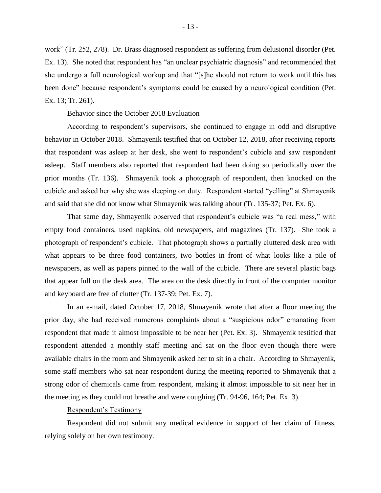work" (Tr. 252, 278). Dr. Brass diagnosed respondent as suffering from delusional disorder (Pet. Ex. 13). She noted that respondent has "an unclear psychiatric diagnosis" and recommended that she undergo a full neurological workup and that "[s]he should not return to work until this has been done" because respondent's symptoms could be caused by a neurological condition (Pet. Ex. 13; Tr. 261).

#### Behavior since the October 2018 Evaluation

According to respondent's supervisors, she continued to engage in odd and disruptive behavior in October 2018. Shmayenik testified that on October 12, 2018, after receiving reports that respondent was asleep at her desk, she went to respondent's cubicle and saw respondent asleep. Staff members also reported that respondent had been doing so periodically over the prior months (Tr. 136). Shmayenik took a photograph of respondent, then knocked on the cubicle and asked her why she was sleeping on duty. Respondent started "yelling" at Shmayenik and said that she did not know what Shmayenik was talking about (Tr. 135-37; Pet. Ex. 6).

That same day, Shmayenik observed that respondent's cubicle was "a real mess," with empty food containers, used napkins, old newspapers, and magazines (Tr. 137). She took a photograph of respondent's cubicle. That photograph shows a partially cluttered desk area with what appears to be three food containers, two bottles in front of what looks like a pile of newspapers, as well as papers pinned to the wall of the cubicle. There are several plastic bags that appear full on the desk area. The area on the desk directly in front of the computer monitor and keyboard are free of clutter (Tr. 137-39; Pet. Ex. 7).

In an e-mail, dated October 17, 2018, Shmayenik wrote that after a floor meeting the prior day, she had received numerous complaints about a "suspicious odor" emanating from respondent that made it almost impossible to be near her (Pet. Ex. 3). Shmayenik testified that respondent attended a monthly staff meeting and sat on the floor even though there were available chairs in the room and Shmayenik asked her to sit in a chair. According to Shmayenik, some staff members who sat near respondent during the meeting reported to Shmayenik that a strong odor of chemicals came from respondent, making it almost impossible to sit near her in the meeting as they could not breathe and were coughing (Tr. 94-96, 164; Pet. Ex. 3).

#### Respondent's Testimony

Respondent did not submit any medical evidence in support of her claim of fitness, relying solely on her own testimony.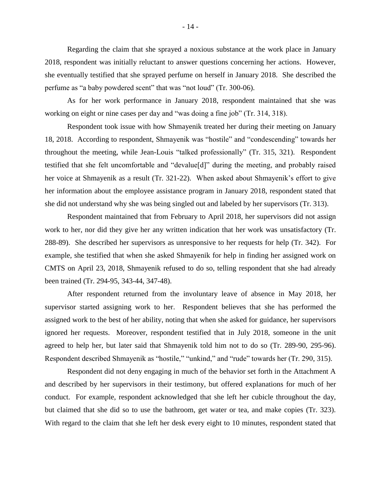Regarding the claim that she sprayed a noxious substance at the work place in January 2018, respondent was initially reluctant to answer questions concerning her actions. However, she eventually testified that she sprayed perfume on herself in January 2018. She described the perfume as "a baby powdered scent" that was "not loud" (Tr. 300-06).

As for her work performance in January 2018, respondent maintained that she was working on eight or nine cases per day and "was doing a fine job" (Tr. 314, 318).

Respondent took issue with how Shmayenik treated her during their meeting on January 18, 2018. According to respondent, Shmayenik was "hostile" and "condescending" towards her throughout the meeting, while Jean-Louis "talked professionally" (Tr. 315, 321). Respondent testified that she felt uncomfortable and "devalue[d]" during the meeting, and probably raised her voice at Shmayenik as a result (Tr. 321-22). When asked about Shmayenik's effort to give her information about the employee assistance program in January 2018, respondent stated that she did not understand why she was being singled out and labeled by her supervisors (Tr. 313).

Respondent maintained that from February to April 2018, her supervisors did not assign work to her, nor did they give her any written indication that her work was unsatisfactory (Tr. 288-89). She described her supervisors as unresponsive to her requests for help (Tr. 342). For example, she testified that when she asked Shmayenik for help in finding her assigned work on CMTS on April 23, 2018, Shmayenik refused to do so, telling respondent that she had already been trained (Tr. 294-95, 343-44, 347-48).

After respondent returned from the involuntary leave of absence in May 2018, her supervisor started assigning work to her. Respondent believes that she has performed the assigned work to the best of her ability, noting that when she asked for guidance, her supervisors ignored her requests. Moreover, respondent testified that in July 2018, someone in the unit agreed to help her, but later said that Shmayenik told him not to do so (Tr. 289-90, 295-96). Respondent described Shmayenik as "hostile," "unkind," and "rude" towards her (Tr. 290, 315).

Respondent did not deny engaging in much of the behavior set forth in the Attachment A and described by her supervisors in their testimony, but offered explanations for much of her conduct. For example, respondent acknowledged that she left her cubicle throughout the day, but claimed that she did so to use the bathroom, get water or tea, and make copies (Tr. 323). With regard to the claim that she left her desk every eight to 10 minutes, respondent stated that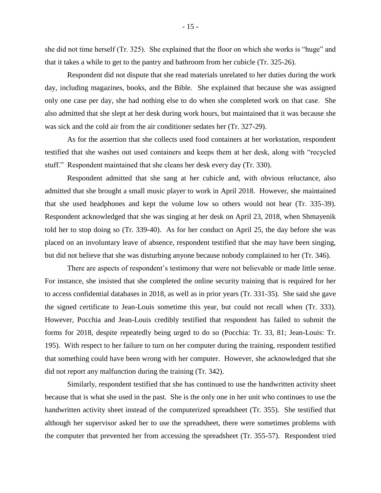she did not time herself (Tr. 325). She explained that the floor on which she works is "huge" and that it takes a while to get to the pantry and bathroom from her cubicle (Tr. 325-26).

Respondent did not dispute that she read materials unrelated to her duties during the work day, including magazines, books, and the Bible. She explained that because she was assigned only one case per day, she had nothing else to do when she completed work on that case. She also admitted that she slept at her desk during work hours, but maintained that it was because she was sick and the cold air from the air conditioner sedates her (Tr. 327-29).

As for the assertion that she collects used food containers at her workstation, respondent testified that she washes out used containers and keeps them at her desk, along with "recycled stuff." Respondent maintained that she cleans her desk every day (Tr. 330).

Respondent admitted that she sang at her cubicle and, with obvious reluctance, also admitted that she brought a small music player to work in April 2018. However, she maintained that she used headphones and kept the volume low so others would not hear (Tr. 335-39). Respondent acknowledged that she was singing at her desk on April 23, 2018, when Shmayenik told her to stop doing so (Tr. 339-40). As for her conduct on April 25, the day before she was placed on an involuntary leave of absence, respondent testified that she may have been singing, but did not believe that she was disturbing anyone because nobody complained to her (Tr. 346).

There are aspects of respondent's testimony that were not believable or made little sense. For instance, she insisted that she completed the online security training that is required for her to access confidential databases in 2018, as well as in prior years (Tr. 331-35). She said she gave the signed certificate to Jean-Louis sometime this year, but could not recall when (Tr. 333). However, Pocchia and Jean-Louis credibly testified that respondent has failed to submit the forms for 2018, despite repeatedly being urged to do so (Pocchia: Tr. 33, 81; Jean-Louis: Tr. 195). With respect to her failure to turn on her computer during the training, respondent testified that something could have been wrong with her computer. However, she acknowledged that she did not report any malfunction during the training (Tr. 342).

Similarly, respondent testified that she has continued to use the handwritten activity sheet because that is what she used in the past. She is the only one in her unit who continues to use the handwritten activity sheet instead of the computerized spreadsheet (Tr. 355). She testified that although her supervisor asked her to use the spreadsheet, there were sometimes problems with the computer that prevented her from accessing the spreadsheet (Tr. 355-57). Respondent tried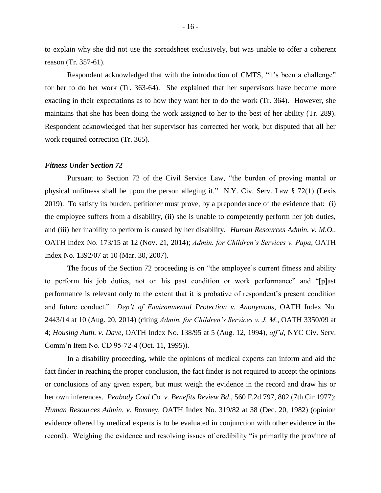to explain why she did not use the spreadsheet exclusively, but was unable to offer a coherent reason (Tr. 357-61).

Respondent acknowledged that with the introduction of CMTS, "it's been a challenge" for her to do her work (Tr. 363-64). She explained that her supervisors have become more exacting in their expectations as to how they want her to do the work (Tr. 364). However, she maintains that she has been doing the work assigned to her to the best of her ability (Tr. 289). Respondent acknowledged that her supervisor has corrected her work, but disputed that all her work required correction (Tr. 365).

#### *Fitness Under Section 72*

Pursuant to Section 72 of the Civil Service Law, "the burden of proving mental or physical unfitness shall be upon the person alleging it." N.Y. Civ. Serv. Law § 72(1) (Lexis 2019). To satisfy its burden, petitioner must prove, by a preponderance of the evidence that: (i) the employee suffers from a disability, (ii) she is unable to competently perform her job duties, and (iii) her inability to perform is caused by her disability. *Human Resources Admin. v. M.O.,* OATH Index No. 173/15 at 12 (Nov. 21, 2014); *Admin. for Children's Services v. Papa*, OATH Index No. 1392/07 at 10 (Mar. 30, 2007).

The focus of the Section 72 proceeding is on "the employee's current fitness and ability to perform his job duties, not on his past condition or work performance" and "[p]ast performance is relevant only to the extent that it is probative of respondent's present condition and future conduct." *Dep't of Environmental Protection v. Anonymous*, OATH Index No. 2443/14 at 10 (Aug. 20, 2014) (citing *Admin. for Children's Services v. J. M.*, OATH 3350/09 at 4; *Housing Auth. v. Dave*, OATH Index No. 138/95 at 5 (Aug. 12, 1994), *aff'd*, NYC Civ. Serv. Comm'n Item No. CD 95-72-4 (Oct. 11, 1995)).

In a disability proceeding, while the opinions of medical experts can inform and aid the fact finder in reaching the proper conclusion, the fact finder is not required to accept the opinions or conclusions of any given expert, but must weigh the evidence in the record and draw his or her own inferences. *Peabody Coal Co. v. Benefits Review Bd*., 560 F.2d 797, 802 (7th Cir 1977); *Human Resources Admin. v. Romney*, OATH Index No. 319/82 at 38 (Dec. 20, 1982) (opinion evidence offered by medical experts is to be evaluated in conjunction with other evidence in the record). Weighing the evidence and resolving issues of credibility "is primarily the province of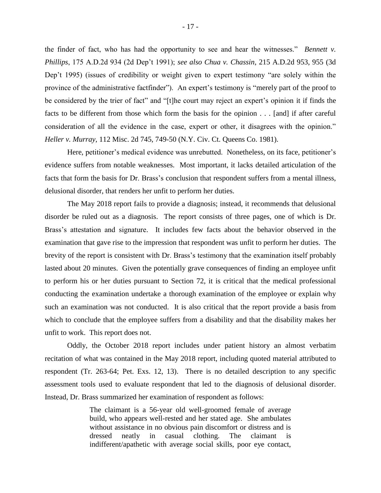the finder of fact, who has had the opportunity to see and hear the witnesses." *Bennett v. Phillips*, 175 A.D.2d 934 (2d Dep't 1991); *see also Chua v. Chassin*, 215 A.D.2d 953, 955 (3d Dep't 1995) (issues of credibility or weight given to expert testimony "are solely within the province of the administrative factfinder"). An expert's testimony is "merely part of the proof to be considered by the trier of fact" and "[t]he court may reject an expert's opinion it if finds the facts to be different from those which form the basis for the opinion . . . [and] if after careful consideration of all the evidence in the case, expert or other, it disagrees with the opinion." *Heller v. Murray*, 112 Misc. 2d 745, 749-50 (N.Y. Civ. Ct. Queens Co. 1981).

Here, petitioner's medical evidence was unrebutted. Nonetheless, on its face, petitioner's evidence suffers from notable weaknesses. Most important, it lacks detailed articulation of the facts that form the basis for Dr. Brass's conclusion that respondent suffers from a mental illness, delusional disorder, that renders her unfit to perform her duties.

The May 2018 report fails to provide a diagnosis; instead, it recommends that delusional disorder be ruled out as a diagnosis. The report consists of three pages, one of which is Dr. Brass's attestation and signature. It includes few facts about the behavior observed in the examination that gave rise to the impression that respondent was unfit to perform her duties. The brevity of the report is consistent with Dr. Brass's testimony that the examination itself probably lasted about 20 minutes. Given the potentially grave consequences of finding an employee unfit to perform his or her duties pursuant to Section 72, it is critical that the medical professional conducting the examination undertake a thorough examination of the employee or explain why such an examination was not conducted. It is also critical that the report provide a basis from which to conclude that the employee suffers from a disability and that the disability makes her unfit to work. This report does not.

Oddly, the October 2018 report includes under patient history an almost verbatim recitation of what was contained in the May 2018 report, including quoted material attributed to respondent (Tr. 263-64; Pet. Exs. 12, 13). There is no detailed description to any specific assessment tools used to evaluate respondent that led to the diagnosis of delusional disorder. Instead, Dr. Brass summarized her examination of respondent as follows:

> The claimant is a 56-year old well-groomed female of average build, who appears well-rested and her stated age. She ambulates without assistance in no obvious pain discomfort or distress and is dressed neatly in casual clothing. The claimant indifferent/apathetic with average social skills, poor eye contact,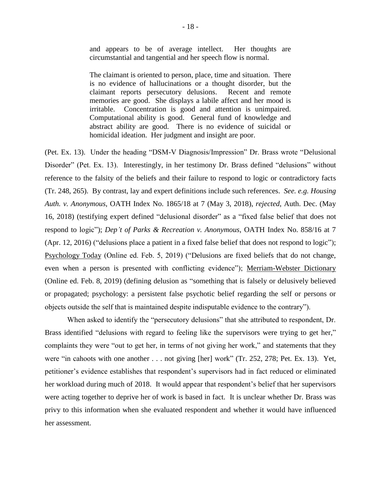and appears to be of average intellect. Her thoughts are circumstantial and tangential and her speech flow is normal.

The claimant is oriented to person, place, time and situation. There is no evidence of hallucinations or a thought disorder, but the claimant reports persecutory delusions. Recent and remote memories are good. She displays a labile affect and her mood is irritable. Concentration is good and attention is unimpaired. Computational ability is good. General fund of knowledge and abstract ability are good. There is no evidence of suicidal or homicidal ideation. Her judgment and insight are poor.

(Pet. Ex. 13). Under the heading "DSM-V Diagnosis/Impression" Dr. Brass wrote "Delusional Disorder" (Pet. Ex. 13). Interestingly, in her testimony Dr. Brass defined "delusions" without reference to the falsity of the beliefs and their failure to respond to logic or contradictory facts (Tr. 248, 265). By contrast, lay and expert definitions include such references. *See. e.g. Housing Auth. v. Anonymous*, OATH Index No. 1865/18 at 7 (May 3, 2018), *rejected*, Auth. Dec. (May 16, 2018) (testifying expert defined "delusional disorder" as a "fixed false belief that does not respond to logic"); *Dep't of Parks & Recreation v. Anonymous*, OATH Index No. 858/16 at 7 (Apr. 12, 2016) ("delusions place a patient in a fixed false belief that does not respond to logic"); Psychology Today (Online ed. Feb. 5, 2019) ("Delusions are fixed beliefs that do not change, even when a person is presented with conflicting evidence"); Merriam-Webster Dictionary (Online ed. Feb. 8, 2019) (defining delusion as "something that is falsely or delusively believed or propagated; psychology: a persistent false psychotic belief regarding the self or persons or objects outside the self that is maintained despite indisputable evidence to the contrary").

When asked to identify the "persecutory delusions" that she attributed to respondent, Dr. Brass identified "delusions with regard to feeling like the supervisors were trying to get her," complaints they were "out to get her, in terms of not giving her work," and statements that they were "in cahoots with one another . . . not giving [her] work" (Tr. 252, 278; Pet. Ex. 13). Yet, petitioner's evidence establishes that respondent's supervisors had in fact reduced or eliminated her workload during much of 2018. It would appear that respondent's belief that her supervisors were acting together to deprive her of work is based in fact. It is unclear whether Dr. Brass was privy to this information when she evaluated respondent and whether it would have influenced her assessment.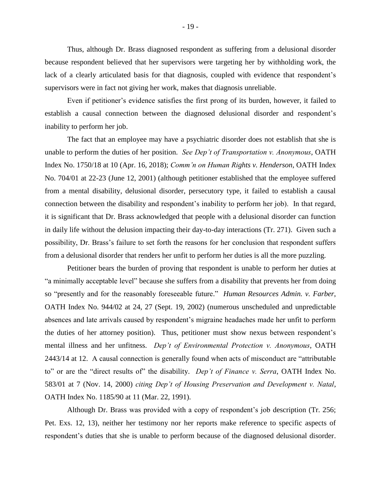Thus, although Dr. Brass diagnosed respondent as suffering from a delusional disorder because respondent believed that her supervisors were targeting her by withholding work, the lack of a clearly articulated basis for that diagnosis, coupled with evidence that respondent's supervisors were in fact not giving her work, makes that diagnosis unreliable.

Even if petitioner's evidence satisfies the first prong of its burden, however, it failed to establish a causal connection between the diagnosed delusional disorder and respondent's inability to perform her job.

The fact that an employee may have a psychiatric disorder does not establish that she is unable to perform the duties of her position. *See Dep't of Transportation v. Anonymous*, OATH Index No. 1750/18 at 10 (Apr. 16, 2018); *Comm'n on Human Rights v. Henderson*, OATH Index No. 704/01 at 22-23 (June 12, 2001) (although petitioner established that the employee suffered from a mental disability, delusional disorder, persecutory type, it failed to establish a causal connection between the disability and respondent's inability to perform her job). In that regard, it is significant that Dr. Brass acknowledged that people with a delusional disorder can function in daily life without the delusion impacting their day-to-day interactions (Tr. 271). Given such a possibility, Dr. Brass's failure to set forth the reasons for her conclusion that respondent suffers from a delusional disorder that renders her unfit to perform her duties is all the more puzzling.

Petitioner bears the burden of proving that respondent is unable to perform her duties at "a minimally acceptable level" because she suffers from a disability that prevents her from doing so "presently and for the reasonably foreseeable future." *Human Resources Admin. v. Farber*, OATH Index No. 944/02 at 24, 27 (Sept. 19, 2002) (numerous unscheduled and unpredictable absences and late arrivals caused by respondent's migraine headaches made her unfit to perform the duties of her attorney position). Thus, petitioner must show nexus between respondent's mental illness and her unfitness. *Dep't of Environmental Protection v. Anonymous*, OATH 2443/14 at 12. A causal connection is generally found when acts of misconduct are "attributable to" or are the "direct results of" the disability. *Dep't of Finance v. Serra*, OATH Index No. 583/01 at 7 (Nov. 14, 2000) *citing Dep't of Housing Preservation and Development v. Natal*, OATH Index No. 1185/90 at 11 (Mar. 22, 1991).

Although Dr. Brass was provided with a copy of respondent's job description (Tr. 256; Pet. Exs. 12, 13), neither her testimony nor her reports make reference to specific aspects of respondent's duties that she is unable to perform because of the diagnosed delusional disorder.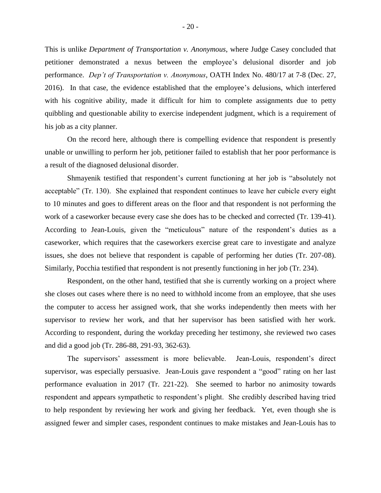This is unlike *Department of Transportation v. Anonymous*, where Judge Casey concluded that petitioner demonstrated a nexus between the employee's delusional disorder and job performance. *Dep't of Transportation v. Anonymous*, OATH Index No. 480/17 at 7-8 (Dec. 27, 2016). In that case, the evidence established that the employee's delusions, which interfered with his cognitive ability, made it difficult for him to complete assignments due to petty quibbling and questionable ability to exercise independent judgment, which is a requirement of his job as a city planner.

On the record here, although there is compelling evidence that respondent is presently unable or unwilling to perform her job, petitioner failed to establish that her poor performance is a result of the diagnosed delusional disorder.

Shmayenik testified that respondent's current functioning at her job is "absolutely not acceptable" (Tr. 130). She explained that respondent continues to leave her cubicle every eight to 10 minutes and goes to different areas on the floor and that respondent is not performing the work of a caseworker because every case she does has to be checked and corrected (Tr. 139-41). According to Jean-Louis, given the "meticulous" nature of the respondent's duties as a caseworker, which requires that the caseworkers exercise great care to investigate and analyze issues, she does not believe that respondent is capable of performing her duties (Tr. 207-08). Similarly, Pocchia testified that respondent is not presently functioning in her job (Tr. 234).

Respondent, on the other hand, testified that she is currently working on a project where she closes out cases where there is no need to withhold income from an employee, that she uses the computer to access her assigned work, that she works independently then meets with her supervisor to review her work, and that her supervisor has been satisfied with her work. According to respondent, during the workday preceding her testimony, she reviewed two cases and did a good job (Tr. 286-88, 291-93, 362-63).

The supervisors' assessment is more believable. Jean-Louis, respondent's direct supervisor, was especially persuasive. Jean-Louis gave respondent a "good" rating on her last performance evaluation in 2017 (Tr. 221-22). She seemed to harbor no animosity towards respondent and appears sympathetic to respondent's plight. She credibly described having tried to help respondent by reviewing her work and giving her feedback. Yet, even though she is assigned fewer and simpler cases, respondent continues to make mistakes and Jean-Louis has to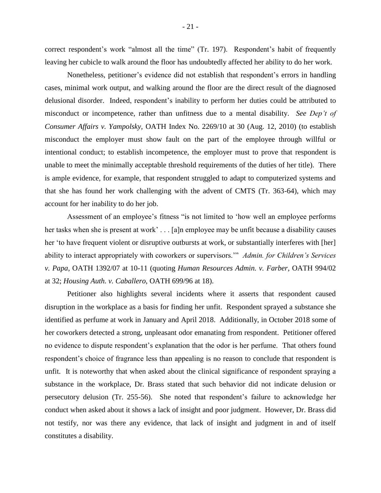correct respondent's work "almost all the time" (Tr. 197). Respondent's habit of frequently leaving her cubicle to walk around the floor has undoubtedly affected her ability to do her work.

Nonetheless, petitioner's evidence did not establish that respondent's errors in handling cases, minimal work output, and walking around the floor are the direct result of the diagnosed delusional disorder. Indeed, respondent's inability to perform her duties could be attributed to misconduct or incompetence, rather than unfitness due to a mental disability. *See Dep't of Consumer Affairs v. Yampolsky,* OATH Index No. 2269/10 at 30 (Aug. 12, 2010) (to establish misconduct the employer must show fault on the part of the employee through willful or intentional conduct; to establish incompetence, the employer must to prove that respondent is unable to meet the minimally acceptable threshold requirements of the duties of her title). There is ample evidence, for example, that respondent struggled to adapt to computerized systems and that she has found her work challenging with the advent of CMTS (Tr. 363-64), which may account for her inability to do her job.

Assessment of an employee's fitness "is not limited to 'how well an employee performs her tasks when she is present at work' . . . [a]n employee may be unfit because a disability causes her 'to have frequent violent or disruptive outbursts at work, or substantially interferes with [her] ability to interact appropriately with coworkers or supervisors.'" *Admin. for Children's Services v. Papa*, OATH 1392/07 at 10-11 (quoting *Human Resources Admin. v. Farber*, OATH 994/02 at 32; *Housing Auth. v. Caballero*, OATH 699/96 at 18).

Petitioner also highlights several incidents where it asserts that respondent caused disruption in the workplace as a basis for finding her unfit. Respondent sprayed a substance she identified as perfume at work in January and April 2018. Additionally, in October 2018 some of her coworkers detected a strong, unpleasant odor emanating from respondent. Petitioner offered no evidence to dispute respondent's explanation that the odor is her perfume. That others found respondent's choice of fragrance less than appealing is no reason to conclude that respondent is unfit. It is noteworthy that when asked about the clinical significance of respondent spraying a substance in the workplace, Dr. Brass stated that such behavior did not indicate delusion or persecutory delusion (Tr. 255-56). She noted that respondent's failure to acknowledge her conduct when asked about it shows a lack of insight and poor judgment. However, Dr. Brass did not testify, nor was there any evidence, that lack of insight and judgment in and of itself constitutes a disability.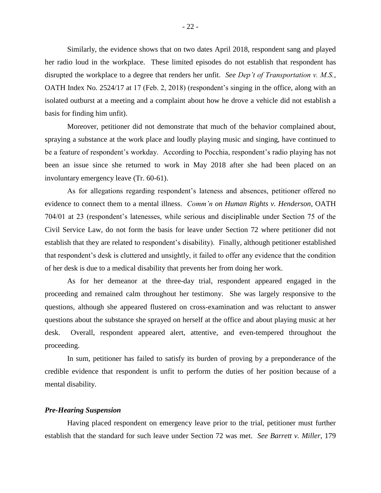Similarly, the evidence shows that on two dates April 2018, respondent sang and played her radio loud in the workplace. These limited episodes do not establish that respondent has disrupted the workplace to a degree that renders her unfit. *See Dep't of Transportation v. M.S.*, OATH Index No. 2524/17 at 17 (Feb. 2, 2018) (respondent's singing in the office, along with an isolated outburst at a meeting and a complaint about how he drove a vehicle did not establish a basis for finding him unfit).

Moreover, petitioner did not demonstrate that much of the behavior complained about, spraying a substance at the work place and loudly playing music and singing, have continued to be a feature of respondent's workday. According to Pocchia, respondent's radio playing has not been an issue since she returned to work in May 2018 after she had been placed on an involuntary emergency leave (Tr. 60-61).

As for allegations regarding respondent's lateness and absences, petitioner offered no evidence to connect them to a mental illness. *Comm'n on Human Rights v. Henderson*, OATH 704/01 at 23 (respondent's latenesses, while serious and disciplinable under Section 75 of the Civil Service Law, do not form the basis for leave under Section 72 where petitioner did not establish that they are related to respondent's disability). Finally, although petitioner established that respondent's desk is cluttered and unsightly, it failed to offer any evidence that the condition of her desk is due to a medical disability that prevents her from doing her work.

As for her demeanor at the three-day trial, respondent appeared engaged in the proceeding and remained calm throughout her testimony. She was largely responsive to the questions, although she appeared flustered on cross-examination and was reluctant to answer questions about the substance she sprayed on herself at the office and about playing music at her desk. Overall, respondent appeared alert, attentive, and even-tempered throughout the proceeding.

In sum, petitioner has failed to satisfy its burden of proving by a preponderance of the credible evidence that respondent is unfit to perform the duties of her position because of a mental disability.

#### *Pre-Hearing Suspension*

Having placed respondent on emergency leave prior to the trial, petitioner must further establish that the standard for such leave under Section 72 was met. *See Barrett v. Miller*, 179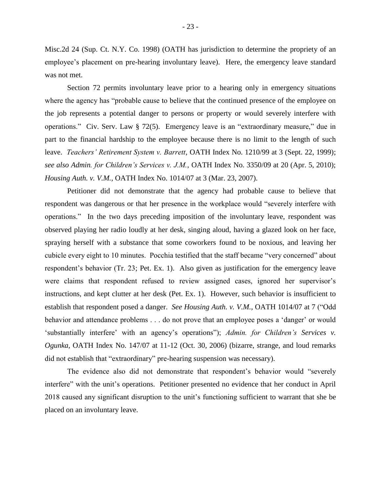Misc.2d 24 (Sup. Ct. N.Y. Co. 1998) (OATH has jurisdiction to determine the propriety of an employee's placement on pre-hearing involuntary leave). Here, the emergency leave standard was not met.

Section 72 permits involuntary leave prior to a hearing only in emergency situations where the agency has "probable cause to believe that the continued presence of the employee on the job represents a potential danger to persons or property or would severely interfere with operations." Civ. Serv. Law § 72(5). Emergency leave is an "extraordinary measure," due in part to the financial hardship to the employee because there is no limit to the length of such leave. *Teachers' Retirement System v. Barrett*, OATH Index No. 1210/99 at 3 (Sept. 22, 1999); *see also Admin. for Children's Services v. J.M.*, OATH Index No. 3350/09 at 20 (Apr. 5, 2010); *Housing Auth. v. V.M.,* OATH Index No. 1014/07 at 3 (Mar. 23, 2007).

Petitioner did not demonstrate that the agency had probable cause to believe that respondent was dangerous or that her presence in the workplace would "severely interfere with operations." In the two days preceding imposition of the involuntary leave, respondent was observed playing her radio loudly at her desk, singing aloud, having a glazed look on her face, spraying herself with a substance that some coworkers found to be noxious, and leaving her cubicle every eight to 10 minutes. Pocchia testified that the staff became "very concerned" about respondent's behavior (Tr. 23; Pet. Ex. 1). Also given as justification for the emergency leave were claims that respondent refused to review assigned cases, ignored her supervisor's instructions, and kept clutter at her desk (Pet. Ex. 1). However, such behavior is insufficient to establish that respondent posed a danger. *See Housing Auth. v. V.M.,* OATH 1014/07 at 7 ("Odd behavior and attendance problems . . . do not prove that an employee poses a 'danger' or would 'substantially interfere' with an agency's operations"); *Admin. for Children's Services v. Ogunka*, OATH Index No. 147/07 at 11-12 (Oct. 30, 2006) (bizarre, strange, and loud remarks did not establish that "extraordinary" pre-hearing suspension was necessary).

The evidence also did not demonstrate that respondent's behavior would "severely interfere" with the unit's operations. Petitioner presented no evidence that her conduct in April 2018 caused any significant disruption to the unit's functioning sufficient to warrant that she be placed on an involuntary leave.